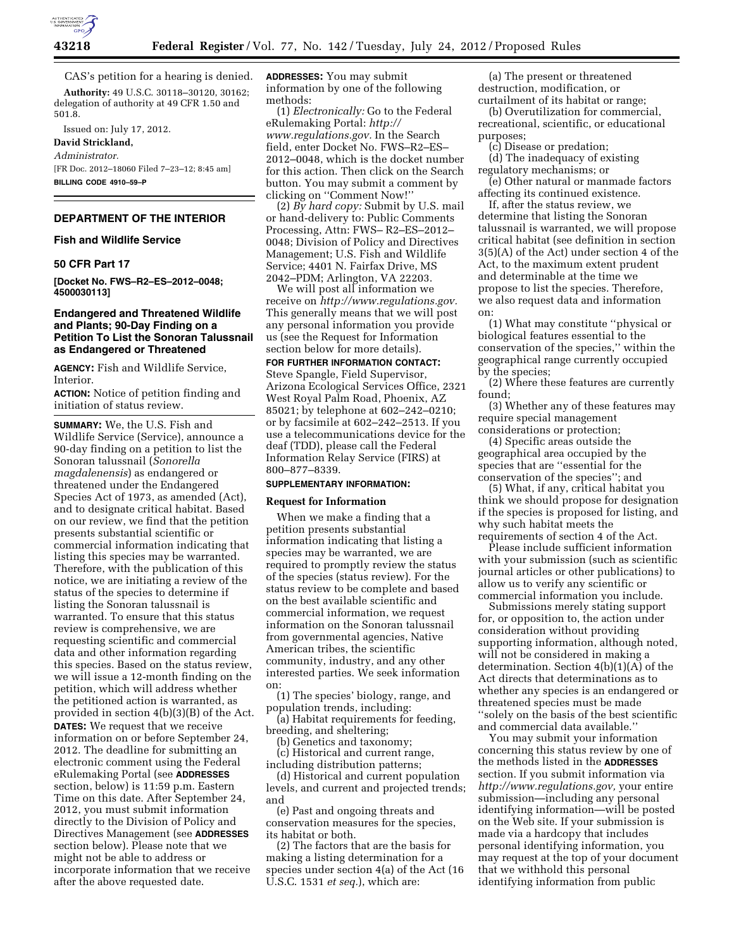

CAS's petition for a hearing is denied.

**Authority:** 49 U.S.C. 30118–30120, 30162; delegation of authority at 49 CFR 1.50 and 501.8.

Issued on: July 17, 2012.

**David Strickland,** 

*Administrator.*  [FR Doc. 2012–18060 Filed 7–23–12; 8:45 am] **BILLING CODE 4910–59–P** 

# **DEPARTMENT OF THE INTERIOR**

**Fish and Wildlife Service** 

# **50 CFR Part 17**

**[Docket No. FWS–R2–ES–2012–0048; 4500030113]** 

# **Endangered and Threatened Wildlife and Plants; 90-Day Finding on a Petition To List the Sonoran Talussnail as Endangered or Threatened**

**AGENCY:** Fish and Wildlife Service, Interior.

**ACTION:** Notice of petition finding and initiation of status review.

**SUMMARY:** We, the U.S. Fish and Wildlife Service (Service), announce a 90-day finding on a petition to list the Sonoran talussnail (*Sonorella magdalenensis*) as endangered or threatened under the Endangered Species Act of 1973, as amended (Act), and to designate critical habitat. Based on our review, we find that the petition presents substantial scientific or commercial information indicating that listing this species may be warranted. Therefore, with the publication of this notice, we are initiating a review of the status of the species to determine if listing the Sonoran talussnail is warranted. To ensure that this status review is comprehensive, we are requesting scientific and commercial data and other information regarding this species. Based on the status review, we will issue a 12-month finding on the petition, which will address whether the petitioned action is warranted, as provided in section 4(b)(3)(B) of the Act. **DATES:** We request that we receive information on or before September 24, 2012. The deadline for submitting an electronic comment using the Federal eRulemaking Portal (see **ADDRESSES** section, below) is 11:59 p.m. Eastern Time on this date. After September 24, 2012, you must submit information directly to the Division of Policy and Directives Management (see **ADDRESSES** section below). Please note that we might not be able to address or incorporate information that we receive after the above requested date.

**ADDRESSES:** You may submit information by one of the following methods:

(1) *Electronically:* Go to the Federal eRulemaking Portal: *[http://](http://www.regulations.gov) [www.regulations.gov.](http://www.regulations.gov)* In the Search field, enter Docket No. FWS–R2–ES– 2012–0048, which is the docket number for this action. Then click on the Search button. You may submit a comment by clicking on ''Comment Now!''

(2) *By hard copy:* Submit by U.S. mail or hand-delivery to: Public Comments Processing, Attn: FWS– R2–ES–2012– 0048; Division of Policy and Directives Management; U.S. Fish and Wildlife Service; 4401 N. Fairfax Drive, MS 2042–PDM; Arlington, VA 22203.

We will post all information we receive on *[http://www.regulations.gov.](http://www.regulations.gov)*  This generally means that we will post any personal information you provide us (see the Request for Information section below for more details).

## **FOR FURTHER INFORMATION CONTACT:**

Steve Spangle, Field Supervisor, Arizona Ecological Services Office, 2321 West Royal Palm Road, Phoenix, AZ 85021; by telephone at 602–242–0210; or by facsimile at 602–242–2513. If you use a telecommunications device for the deaf (TDD), please call the Federal Information Relay Service (FIRS) at 800–877–8339.

### **SUPPLEMENTARY INFORMATION:**

#### **Request for Information**

When we make a finding that a petition presents substantial information indicating that listing a species may be warranted, we are required to promptly review the status of the species (status review). For the status review to be complete and based on the best available scientific and commercial information, we request information on the Sonoran talussnail from governmental agencies, Native American tribes, the scientific community, industry, and any other interested parties. We seek information on:

(1) The species' biology, range, and population trends, including:

(a) Habitat requirements for feeding, breeding, and sheltering;

(b) Genetics and taxonomy; (c) Historical and current range, including distribution patterns;

(d) Historical and current population levels, and current and projected trends; and

(e) Past and ongoing threats and conservation measures for the species, its habitat or both.

(2) The factors that are the basis for making a listing determination for a species under section 4(a) of the Act (16 U.S.C. 1531 *et seq.*), which are:

(a) The present or threatened destruction, modification, or curtailment of its habitat or range;

(b) Overutilization for commercial, recreational, scientific, or educational purposes;

(c) Disease or predation;

(d) The inadequacy of existing regulatory mechanisms; or

(e) Other natural or manmade factors affecting its continued existence.

If, after the status review, we determine that listing the Sonoran talussnail is warranted, we will propose critical habitat (see definition in section 3(5)(A) of the Act) under section 4 of the Act, to the maximum extent prudent and determinable at the time we propose to list the species. Therefore, we also request data and information on:

(1) What may constitute ''physical or biological features essential to the conservation of the species,'' within the geographical range currently occupied by the species;

(2) Where these features are currently found;

(3) Whether any of these features may require special management considerations or protection;

(4) Specific areas outside the geographical area occupied by the species that are ''essential for the conservation of the species''; and

(5) What, if any, critical habitat you think we should propose for designation if the species is proposed for listing, and why such habitat meets the requirements of section 4 of the Act.

Please include sufficient information with your submission (such as scientific journal articles or other publications) to allow us to verify any scientific or commercial information you include.

Submissions merely stating support for, or opposition to, the action under consideration without providing supporting information, although noted, will not be considered in making a determination. Section 4(b)(1)(A) of the Act directs that determinations as to whether any species is an endangered or threatened species must be made ''solely on the basis of the best scientific and commercial data available.''

You may submit your information concerning this status review by one of the methods listed in the **ADDRESSES** section. If you submit information via *[http://www.regulations.gov,](http://www.regulations.gov)* your entire submission—including any personal identifying information—will be posted on the Web site. If your submission is made via a hardcopy that includes personal identifying information, you may request at the top of your document that we withhold this personal identifying information from public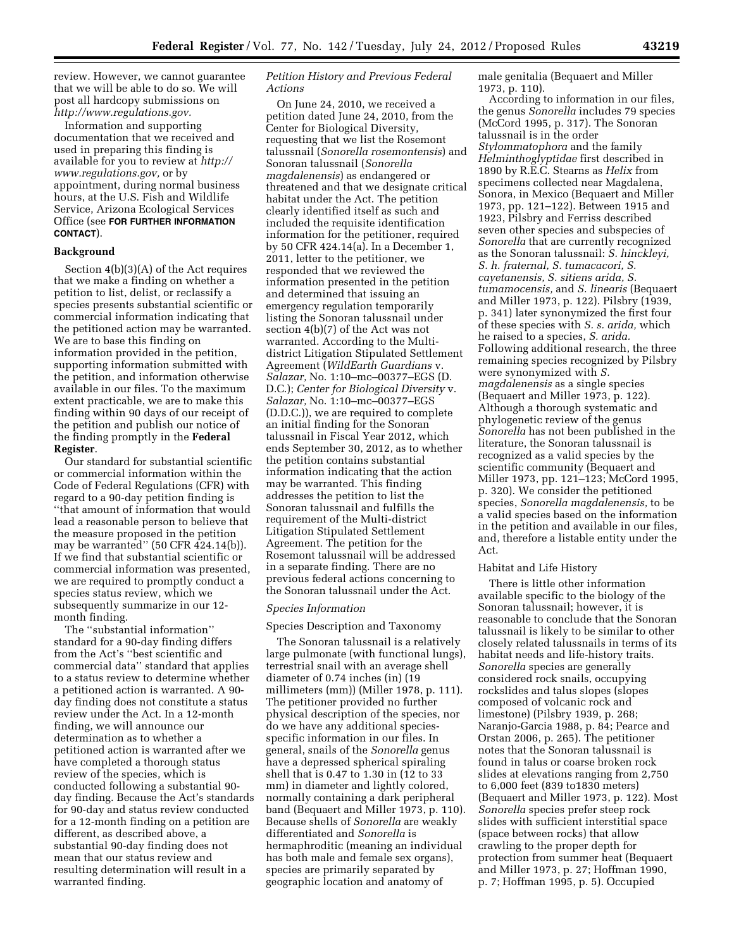review. However, we cannot guarantee that we will be able to do so. We will post all hardcopy submissions on *[http://www.regulations.gov.](http://www.regulations.gov)* 

Information and supporting documentation that we received and used in preparing this finding is available for you to review at *[http://](http://www.regulations.gov)  [www.regulations.gov,](http://www.regulations.gov)* or by appointment, during normal business hours, at the U.S. Fish and Wildlife Service, Arizona Ecological Services Office (see **FOR FURTHER INFORMATION CONTACT**).

#### **Background**

Section 4(b)(3)(A) of the Act requires that we make a finding on whether a petition to list, delist, or reclassify a species presents substantial scientific or commercial information indicating that the petitioned action may be warranted. We are to base this finding on information provided in the petition, supporting information submitted with the petition, and information otherwise available in our files. To the maximum extent practicable, we are to make this finding within 90 days of our receipt of the petition and publish our notice of the finding promptly in the **Federal Register**.

Our standard for substantial scientific or commercial information within the Code of Federal Regulations (CFR) with regard to a 90-day petition finding is ''that amount of information that would lead a reasonable person to believe that the measure proposed in the petition may be warranted'' (50 CFR 424.14(b)). If we find that substantial scientific or commercial information was presented, we are required to promptly conduct a species status review, which we subsequently summarize in our 12 month finding.

The ''substantial information'' standard for a 90-day finding differs from the Act's ''best scientific and commercial data'' standard that applies to a status review to determine whether a petitioned action is warranted. A 90 day finding does not constitute a status review under the Act. In a 12-month finding, we will announce our determination as to whether a petitioned action is warranted after we have completed a thorough status review of the species, which is conducted following a substantial 90 day finding. Because the Act's standards for 90-day and status review conducted for a 12-month finding on a petition are different, as described above, a substantial 90-day finding does not mean that our status review and resulting determination will result in a warranted finding.

## *Petition History and Previous Federal Actions*

On June 24, 2010, we received a petition dated June 24, 2010, from the Center for Biological Diversity, requesting that we list the Rosemont talussnail (*Sonorella rosemontensis*) and Sonoran talussnail (*Sonorella magdalenensis*) as endangered or threatened and that we designate critical habitat under the Act. The petition clearly identified itself as such and included the requisite identification information for the petitioner, required by 50 CFR 424.14(a). In a December 1, 2011, letter to the petitioner, we responded that we reviewed the information presented in the petition and determined that issuing an emergency regulation temporarily listing the Sonoran talussnail under section 4(b)(7) of the Act was not warranted. According to the Multidistrict Litigation Stipulated Settlement Agreement (*WildEarth Guardians* v. *Salazar,* No. 1:10–mc–00377–EGS (D. D.C.); *Center for Biological Diversity* v. *Salazar,* No. 1:10–mc–00377–EGS (D.D.C.)), we are required to complete an initial finding for the Sonoran talussnail in Fiscal Year 2012, which ends September 30, 2012, as to whether the petition contains substantial information indicating that the action may be warranted. This finding addresses the petition to list the Sonoran talussnail and fulfills the requirement of the Multi-district Litigation Stipulated Settlement Agreement. The petition for the Rosemont talussnail will be addressed in a separate finding. There are no previous federal actions concerning to the Sonoran talussnail under the Act.

#### *Species Information*

## Species Description and Taxonomy

The Sonoran talussnail is a relatively large pulmonate (with functional lungs), terrestrial snail with an average shell diameter of 0.74 inches (in) (19 millimeters (mm)) (Miller 1978, p. 111). The petitioner provided no further physical description of the species, nor do we have any additional speciesspecific information in our files. In general, snails of the *Sonorella* genus have a depressed spherical spiraling shell that is 0.47 to 1.30 in (12 to 33 mm) in diameter and lightly colored, normally containing a dark peripheral band (Bequaert and Miller 1973, p. 110). Because shells of *Sonorella* are weakly differentiated and *Sonorella* is hermaphroditic (meaning an individual has both male and female sex organs), species are primarily separated by geographic location and anatomy of

male genitalia (Bequaert and Miller 1973, p. 110).

According to information in our files, the genus *Sonorella* includes 79 species (McCord 1995, p. 317). The Sonoran talussnail is in the order *Stylommatophora* and the family *Helminthoglyptidae* first described in 1890 by R.E.C. Stearns as *Helix* from specimens collected near Magdalena, Sonora, in Mexico (Bequaert and Miller 1973, pp. 121–122). Between 1915 and 1923, Pilsbry and Ferriss described seven other species and subspecies of *Sonorella* that are currently recognized as the Sonoran talussnail: *S. hinckleyi, S. h. fraternal, S. tumacacori, S. cayetanensis, S. sitiens arida, S. tumamocensis,* and *S. linearis* (Bequaert and Miller 1973, p. 122). Pilsbry (1939, p. 341) later synonymized the first four of these species with *S. s. arida,* which he raised to a species, *S. arida.*  Following additional research, the three remaining species recognized by Pilsbry were synonymized with *S. magdalenensis* as a single species (Bequaert and Miller 1973, p. 122). Although a thorough systematic and phylogenetic review of the genus *Sonorella* has not been published in the literature, the Sonoran talussnail is recognized as a valid species by the scientific community (Bequaert and Miller 1973, pp. 121–123; McCord 1995, p. 320). We consider the petitioned species, *Sonorella magdalenensis,* to be a valid species based on the information in the petition and available in our files, and, therefore a listable entity under the Act.

#### Habitat and Life History

There is little other information available specific to the biology of the Sonoran talussnail; however, it is reasonable to conclude that the Sonoran talussnail is likely to be similar to other closely related talussnails in terms of its habitat needs and life-history traits. *Sonorella* species are generally considered rock snails, occupying rockslides and talus slopes (slopes composed of volcanic rock and limestone) (Pilsbry 1939, p. 268; Naranjo-Garcia 1988, p. 84; Pearce and Orstan 2006, p. 265). The petitioner notes that the Sonoran talussnail is found in talus or coarse broken rock slides at elevations ranging from 2,750 to 6,000 feet (839 to1830 meters) (Bequaert and Miller 1973, p. 122). Most *Sonorella* species prefer steep rock slides with sufficient interstitial space (space between rocks) that allow crawling to the proper depth for protection from summer heat (Bequaert and Miller 1973, p. 27; Hoffman 1990, p. 7; Hoffman 1995, p. 5). Occupied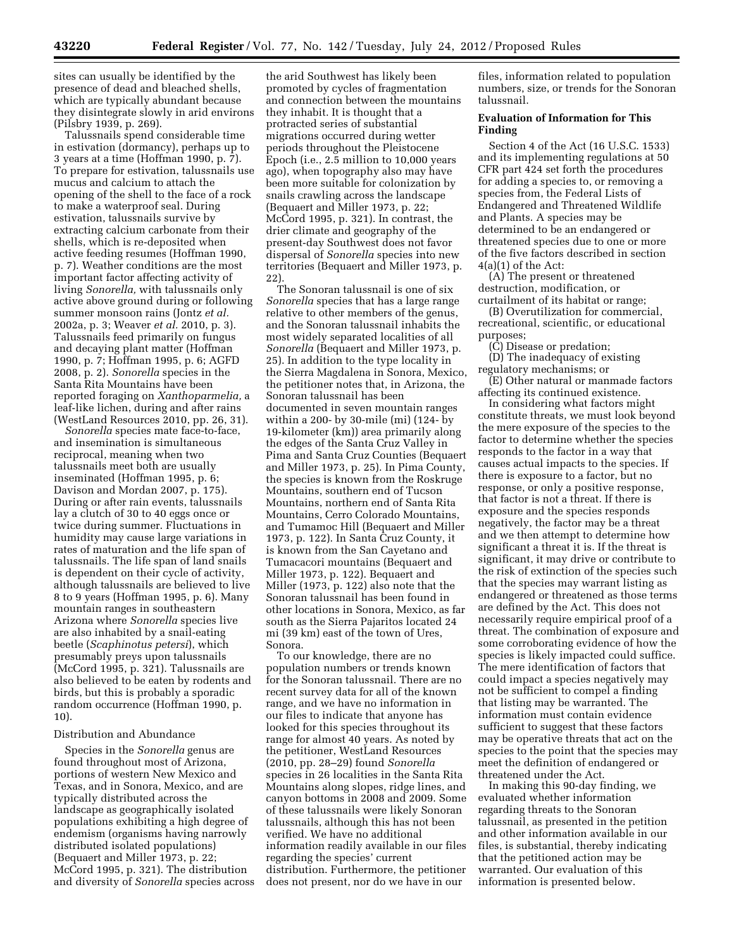sites can usually be identified by the presence of dead and bleached shells, which are typically abundant because they disintegrate slowly in arid environs (Pilsbry 1939, p. 269).

Talussnails spend considerable time in estivation (dormancy), perhaps up to 3 years at a time (Hoffman 1990, p. 7). To prepare for estivation, talussnails use mucus and calcium to attach the opening of the shell to the face of a rock to make a waterproof seal. During estivation, talussnails survive by extracting calcium carbonate from their shells, which is re-deposited when active feeding resumes (Hoffman 1990, p. 7). Weather conditions are the most important factor affecting activity of living *Sonorella,* with talussnails only active above ground during or following summer monsoon rains (Jontz *et al.*  2002a, p. 3; Weaver *et al.* 2010, p. 3). Talussnails feed primarily on fungus and decaying plant matter (Hoffman 1990, p. 7; Hoffman 1995, p. 6; AGFD 2008, p. 2). *Sonorella* species in the Santa Rita Mountains have been reported foraging on *Xanthoparmelia,* a leaf-like lichen, during and after rains (WestLand Resources 2010, pp. 26, 31).

*Sonorella* species mate face-to-face, and insemination is simultaneous reciprocal, meaning when two talussnails meet both are usually inseminated (Hoffman 1995, p. 6; Davison and Mordan 2007, p. 175). During or after rain events, talussnails lay a clutch of 30 to 40 eggs once or twice during summer. Fluctuations in humidity may cause large variations in rates of maturation and the life span of talussnails. The life span of land snails is dependent on their cycle of activity, although talussnails are believed to live 8 to 9 years (Hoffman 1995, p. 6). Many mountain ranges in southeastern Arizona where *Sonorella* species live are also inhabited by a snail-eating beetle (*Scaphinotus petersi*), which presumably preys upon talussnails (McCord 1995, p. 321). Talussnails are also believed to be eaten by rodents and birds, but this is probably a sporadic random occurrence (Hoffman 1990, p. 10).

#### Distribution and Abundance

Species in the *Sonorella* genus are found throughout most of Arizona, portions of western New Mexico and Texas, and in Sonora, Mexico, and are typically distributed across the landscape as geographically isolated populations exhibiting a high degree of endemism (organisms having narrowly distributed isolated populations) (Bequaert and Miller 1973, p. 22; McCord 1995, p. 321). The distribution and diversity of *Sonorella* species across

the arid Southwest has likely been promoted by cycles of fragmentation and connection between the mountains they inhabit. It is thought that a protracted series of substantial migrations occurred during wetter periods throughout the Pleistocene Epoch (i.e., 2.5 million to 10,000 years ago), when topography also may have been more suitable for colonization by snails crawling across the landscape (Bequaert and Miller 1973, p. 22; McCord 1995, p. 321). In contrast, the drier climate and geography of the present-day Southwest does not favor dispersal of *Sonorella* species into new territories (Bequaert and Miller 1973, p. 22).

The Sonoran talussnail is one of six *Sonorella* species that has a large range relative to other members of the genus, and the Sonoran talussnail inhabits the most widely separated localities of all *Sonorella* (Bequaert and Miller 1973, p. 25). In addition to the type locality in the Sierra Magdalena in Sonora, Mexico, the petitioner notes that, in Arizona, the Sonoran talussnail has been documented in seven mountain ranges within a 200- by 30-mile (mi) (124- by 19-kilometer (km)) area primarily along the edges of the Santa Cruz Valley in Pima and Santa Cruz Counties (Bequaert and Miller 1973, p. 25). In Pima County, the species is known from the Roskruge Mountains, southern end of Tucson Mountains, northern end of Santa Rita Mountains, Cerro Colorado Mountains, and Tumamoc Hill (Bequaert and Miller 1973, p. 122). In Santa Cruz County, it is known from the San Cayetano and Tumacacori mountains (Bequaert and Miller 1973, p. 122). Bequaert and Miller (1973, p. 122) also note that the Sonoran talussnail has been found in other locations in Sonora, Mexico, as far south as the Sierra Pajaritos located 24 mi (39 km) east of the town of Ures, Sonora.

To our knowledge, there are no population numbers or trends known for the Sonoran talussnail. There are no recent survey data for all of the known range, and we have no information in our files to indicate that anyone has looked for this species throughout its range for almost 40 years. As noted by the petitioner, WestLand Resources (2010, pp. 28–29) found *Sonorella*  species in 26 localities in the Santa Rita Mountains along slopes, ridge lines, and canyon bottoms in 2008 and 2009. Some of these talussnails were likely Sonoran talussnails, although this has not been verified. We have no additional information readily available in our files regarding the species' current distribution. Furthermore, the petitioner does not present, nor do we have in our

files, information related to population numbers, size, or trends for the Sonoran talussnail.

# **Evaluation of Information for This Finding**

Section 4 of the Act (16 U.S.C. 1533) and its implementing regulations at 50 CFR part 424 set forth the procedures for adding a species to, or removing a species from, the Federal Lists of Endangered and Threatened Wildlife and Plants. A species may be determined to be an endangered or threatened species due to one or more of the five factors described in section 4(a)(1) of the Act:

(A) The present or threatened destruction, modification, or curtailment of its habitat or range;

(B) Overutilization for commercial, recreational, scientific, or educational purposes;

(C) Disease or predation;

(D) The inadequacy of existing regulatory mechanisms; or

(E) Other natural or manmade factors affecting its continued existence.

In considering what factors might constitute threats, we must look beyond the mere exposure of the species to the factor to determine whether the species responds to the factor in a way that causes actual impacts to the species. If there is exposure to a factor, but no response, or only a positive response, that factor is not a threat. If there is exposure and the species responds negatively, the factor may be a threat and we then attempt to determine how significant a threat it is. If the threat is significant, it may drive or contribute to the risk of extinction of the species such that the species may warrant listing as endangered or threatened as those terms are defined by the Act. This does not necessarily require empirical proof of a threat. The combination of exposure and some corroborating evidence of how the species is likely impacted could suffice. The mere identification of factors that could impact a species negatively may not be sufficient to compel a finding that listing may be warranted. The information must contain evidence sufficient to suggest that these factors may be operative threats that act on the species to the point that the species may meet the definition of endangered or threatened under the Act.

In making this 90-day finding, we evaluated whether information regarding threats to the Sonoran talussnail, as presented in the petition and other information available in our files, is substantial, thereby indicating that the petitioned action may be warranted. Our evaluation of this information is presented below.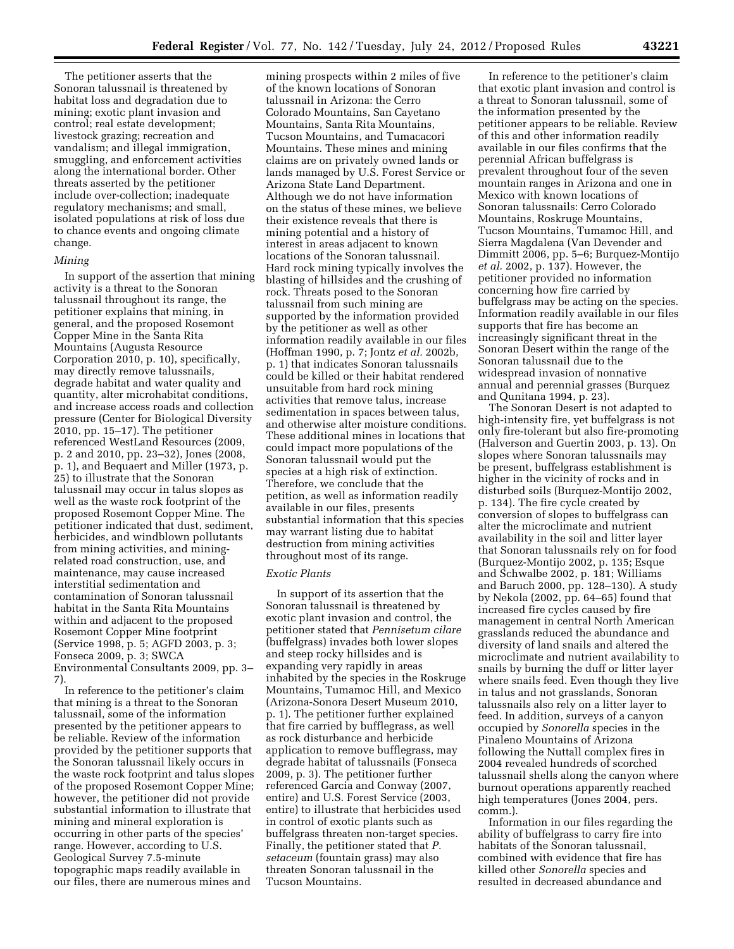The petitioner asserts that the Sonoran talussnail is threatened by habitat loss and degradation due to mining; exotic plant invasion and control; real estate development; livestock grazing; recreation and vandalism; and illegal immigration, smuggling, and enforcement activities along the international border. Other threats asserted by the petitioner include over-collection; inadequate regulatory mechanisms; and small, isolated populations at risk of loss due to chance events and ongoing climate change.

### *Mining*

In support of the assertion that mining activity is a threat to the Sonoran talussnail throughout its range, the petitioner explains that mining, in general, and the proposed Rosemont Copper Mine in the Santa Rita Mountains (Augusta Resource Corporation 2010, p. 10), specifically, may directly remove talussnails, degrade habitat and water quality and quantity, alter microhabitat conditions, and increase access roads and collection pressure (Center for Biological Diversity 2010, pp. 15–17). The petitioner referenced WestLand Resources (2009, p. 2 and 2010, pp. 23–32), Jones (2008, p. 1), and Bequaert and Miller (1973, p. 25) to illustrate that the Sonoran talussnail may occur in talus slopes as well as the waste rock footprint of the proposed Rosemont Copper Mine. The petitioner indicated that dust, sediment, herbicides, and windblown pollutants from mining activities, and miningrelated road construction, use, and maintenance, may cause increased interstitial sedimentation and contamination of Sonoran talussnail habitat in the Santa Rita Mountains within and adjacent to the proposed Rosemont Copper Mine footprint (Service 1998, p. 5; AGFD 2003, p. 3; Fonseca 2009, p. 3; SWCA Environmental Consultants 2009, pp. 3– 7).

In reference to the petitioner's claim that mining is a threat to the Sonoran talussnail, some of the information presented by the petitioner appears to be reliable. Review of the information provided by the petitioner supports that the Sonoran talussnail likely occurs in the waste rock footprint and talus slopes of the proposed Rosemont Copper Mine; however, the petitioner did not provide substantial information to illustrate that mining and mineral exploration is occurring in other parts of the species' range. However, according to U.S. Geological Survey 7.5-minute topographic maps readily available in our files, there are numerous mines and

mining prospects within 2 miles of five of the known locations of Sonoran talussnail in Arizona: the Cerro Colorado Mountains, San Cayetano Mountains, Santa Rita Mountains, Tucson Mountains, and Tumacacori Mountains. These mines and mining claims are on privately owned lands or lands managed by U.S. Forest Service or Arizona State Land Department. Although we do not have information on the status of these mines, we believe their existence reveals that there is mining potential and a history of interest in areas adjacent to known locations of the Sonoran talussnail. Hard rock mining typically involves the blasting of hillsides and the crushing of rock. Threats posed to the Sonoran talussnail from such mining are supported by the information provided by the petitioner as well as other information readily available in our files (Hoffman 1990, p. 7; Jontz *et al.* 2002b, p. 1) that indicates Sonoran talussnails could be killed or their habitat rendered unsuitable from hard rock mining activities that remove talus, increase sedimentation in spaces between talus, and otherwise alter moisture conditions. These additional mines in locations that could impact more populations of the Sonoran talussnail would put the species at a high risk of extinction. Therefore, we conclude that the petition, as well as information readily available in our files, presents substantial information that this species may warrant listing due to habitat destruction from mining activities throughout most of its range.

# *Exotic Plants*

In support of its assertion that the Sonoran talussnail is threatened by exotic plant invasion and control, the petitioner stated that *Pennisetum cilare*  (buffelgrass) invades both lower slopes and steep rocky hillsides and is expanding very rapidly in areas inhabited by the species in the Roskruge Mountains, Tumamoc Hill, and Mexico (Arizona-Sonora Desert Museum 2010, p. 1). The petitioner further explained that fire carried by bufflegrass, as well as rock disturbance and herbicide application to remove bufflegrass, may degrade habitat of talussnails (Fonseca 2009, p. 3). The petitioner further referenced Garcia and Conway (2007, entire) and U.S. Forest Service (2003, entire) to illustrate that herbicides used in control of exotic plants such as buffelgrass threaten non-target species. Finally, the petitioner stated that *P. setaceum* (fountain grass) may also threaten Sonoran talussnail in the Tucson Mountains.

In reference to the petitioner's claim that exotic plant invasion and control is a threat to Sonoran talussnail, some of the information presented by the petitioner appears to be reliable. Review of this and other information readily available in our files confirms that the perennial African buffelgrass is prevalent throughout four of the seven mountain ranges in Arizona and one in Mexico with known locations of Sonoran talussnails: Cerro Colorado Mountains, Roskruge Mountains, Tucson Mountains, Tumamoc Hill, and Sierra Magdalena (Van Devender and Dimmitt 2006, pp. 5–6; Burquez-Montijo *et al.* 2002, p. 137). However, the petitioner provided no information concerning how fire carried by buffelgrass may be acting on the species. Information readily available in our files supports that fire has become an increasingly significant threat in the Sonoran Desert within the range of the Sonoran talussnail due to the widespread invasion of nonnative annual and perennial grasses (Burquez and Qunitana 1994, p. 23).

The Sonoran Desert is not adapted to high-intensity fire, yet buffelgrass is not only fire-tolerant but also fire-promoting (Halverson and Guertin 2003, p. 13). On slopes where Sonoran talussnails may be present, buffelgrass establishment is higher in the vicinity of rocks and in disturbed soils (Burquez-Montijo 2002, p. 134). The fire cycle created by conversion of slopes to buffelgrass can alter the microclimate and nutrient availability in the soil and litter layer that Sonoran talussnails rely on for food (Burquez-Montijo 2002, p. 135; Esque and Schwalbe 2002, p. 181; Williams and Baruch 2000, pp. 128–130). A study by Nekola (2002, pp. 64–65) found that increased fire cycles caused by fire management in central North American grasslands reduced the abundance and diversity of land snails and altered the microclimate and nutrient availability to snails by burning the duff or litter layer where snails feed. Even though they live in talus and not grasslands, Sonoran talussnails also rely on a litter layer to feed. In addition, surveys of a canyon occupied by *Sonorella* species in the Pinaleno Mountains of Arizona following the Nuttall complex fires in 2004 revealed hundreds of scorched talussnail shells along the canyon where burnout operations apparently reached high temperatures (Jones 2004, pers. comm.).

Information in our files regarding the ability of buffelgrass to carry fire into habitats of the Sonoran talussnail, combined with evidence that fire has killed other *Sonorella* species and resulted in decreased abundance and